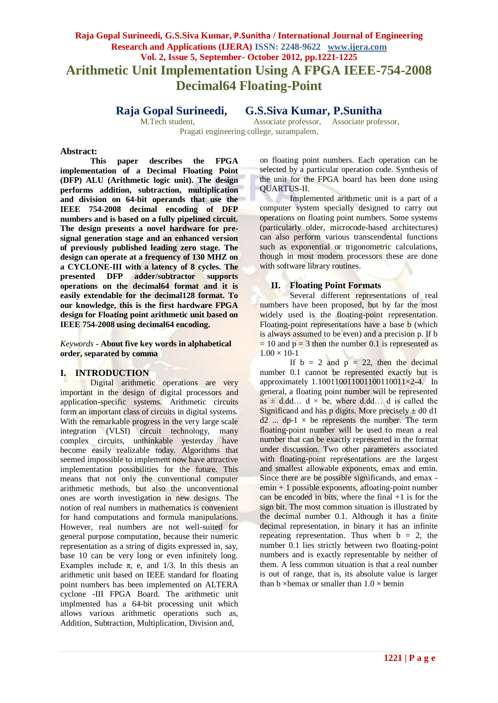# **Raja Gopal Surineedi, G.S.Siva Kumar, P.Sunitha / International Journal of Engineering Research and Applications (IJERA) ISSN: 2248-9622 www.ijera.com Vol. 2, Issue 5, September- October 2012, pp.1221-1225 Arithmetic Unit Implementation Using A FPGA IEEE-754-2008 Decimal64 Floating-Point**

**Raja Gopal Surineedi, G.S.Siva Kumar, P.Sunitha**

M.Tech student, Associate professor, Associate professor,

Pragati engineering college, surampalem,

#### **Abstract:**

**This paper describes the FPGA implementation of a Decimal Floating Point (DFP) ALU (Arithmetic logic unit). The design performs addition, subtraction, multiplication and division on 64-bit operands that use the IEEE 754-2008 decimal encoding of DFP numbers and is based on a fully pipelined circuit. The design presents a novel hardware for presignal generation stage and an enhanced version of previously published leading zero stage. The design can operate at a frequency of 130 MHZ on a CYCLONE-III with a latency of 8 cycles. The presented DFP adder/subtractor supports operations on the decimal64 format and it is easily extendable for the decimal128 format. To our knowledge, this is the first hardware FPGA design for Floating point arithmetic unit based on IEEE 754-2008 using decimal64 encoding.**

*Keywords* **- About five key words in alphabetical order, separated by comma**

### **I. INTRODUCTION**

Digital arithmetic operations are very important in the design of digital processors and application-specific systems. Arithmetic circuits form an important class of circuits in digital systems. With the remarkable progress in the very large scale integration (VLSI) circuit technology, many complex circuits, unthinkable yesterday have become easily realizable today. Algorithms that seemed impossible to implement now have attractive implementation possibilities for the future. This means that not only the conventional computer arithmetic methods, but also the unconventional ones are worth investigation in new designs. The notion of real numbers in mathematics is convenient for hand computations and formula manipulations. However, real numbers are not well-suited for general purpose computation, because their numeric representation as a string of digits expressed in, say, base 10 can be very long or even infinitely long. Examples include  $\pi$ , e, and 1/3. In this thesis an arithmetic unit based on IEEE standard for floating point numbers has been implemented on ALTERA cyclone -III FPGA Board. The arithmetic unit implmented has a 64-bit processing unit which allows various arithmetic operations such as, Addition, Subtraction, Multiplication, Division and,

on floating point numbers. Each operation can be selected by a particular operation code. Synthesis of the unit for the FPGA board has been done using QUARTUS-II.

Implemented arithmetic unit is a part of a computer system specially designed to carry out operations on floating point numbers. Some systems (particularly older, microcode-based architectures) can also perform various transcendental functions such as exponential or trigonometric calculations, though in most modern processors these are done with software library routines.

#### **II. Floating Point Formats**

Several different representations of real numbers have been proposed, but by far the most widely used is the floating-point representation. Floating-point representations have a base b (which is always assumed to be even) and a precision p. If b  $= 10$  and  $p = 3$  then the number 0.1 is represented as  $1.00 \times 10 - 1$ 

If  $b = 2$  and  $p = 22$ , then the decimal number 0.1 cannot be represented exactly but is approximately 1.100110011001100110011×2-4. In general, a floating point number will be represented as  $\pm$  d.dd… d  $\times$  be, where d.dd… d is called the Significand and has p digits. More precisely  $\pm$  d0 d1  $d2$  ...  $dp-1 \times be$  represents the number. The term floating-point number will be used to mean a real number that can be exactly represented in the format under discussion. Two other parameters associated with floating-point representations are the largest and smallest allowable exponents, emax and emin. Since there are be possible significands, and emax emin + 1 possible exponents, afloating-point number can be encoded in bits, where the final  $+1$  is for the sign bit. The most common situation is illustrated by the decimal number 0.1. Although it has a finite decimal representation, in binary it has an infinite repeating representation. Thus when  $b = 2$ , the number 0.1 lies strictly between two floating-point numbers and is exactly representable by neither of them. A less common situation is that a real number is out of range, that is, its absolute value is larger than b  $\times$ bemax or smaller than  $1.0 \times$  bemin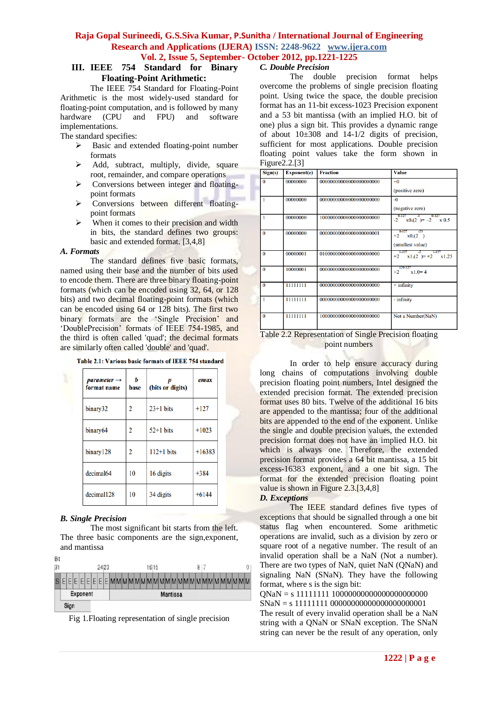### **III. IEEE 754 Standard for Binary Floating-Point Arithmetic:**

The IEEE 754 Standard for Floating-Point Arithmetic is the most widely-used standard for floating-point computation, and is followed by many hardware (CPU and FPU) and software implementations.

The standard specifies:

- $\triangleright$  Basic and extended floating-point number formats
- $\triangleright$  Add, subtract, multiply, divide, square root, remainder, and compare operations
- $\triangleright$  Conversions between integer and floatingpoint formats
- > Conversions between different floatingpoint formats
- $\triangleright$  When it comes to their precision and width in bits, the standard defines two groups: basic and extended format. [3,4,8]

#### *A. Formats*

The standard defines five basic formats, named using their base and the number of bits used to encode them. There are three binary floating-point formats (which can be encoded using 32, 64, or 128 bits) and two decimal floating-point formats (which can be encoded using 64 or 128 bits). The first two binary formats are the 'Single Precision' and 'DoublePrecision' formats of IEEE 754-1985, and the third is often called 'quad'; the decimal formats are similarly often called 'double' and 'quad'.

| <b>Table 2.1: Various basic formats of IEEE 754 standard</b> |  |
|--------------------------------------------------------------|--|
|--------------------------------------------------------------|--|

| $parameter \rightarrow$<br>format name | Ь<br>base | (bits or digits) | emax     |
|----------------------------------------|-----------|------------------|----------|
| binary32                               | 2         | $23+1$ bits      | $+127$   |
| binary <sub>64</sub>                   | 2         | $52+1$ bits      | $+1023$  |
| binary128                              | 2         | $112+1$ bits     | $+16383$ |
| decimal64                              | 10        | 16 digits        | $+384$   |
| decimal128                             | 10        | 34 digits        | $+6144$  |

# *B. Single Precision*

The most significant bit starts from the left. The three basic components are the sign,exponent, and mantissa

| Вıt |                                       |  |  |  |  |          |  |  |  |  |  |  |  |       |  |  |  |  |  |     |  |  |  |  |   |  |
|-----|---------------------------------------|--|--|--|--|----------|--|--|--|--|--|--|--|-------|--|--|--|--|--|-----|--|--|--|--|---|--|
| 3   |                                       |  |  |  |  | 2423     |  |  |  |  |  |  |  | 16 15 |  |  |  |  |  | 817 |  |  |  |  | O |  |
|     | SEEEEEEEEEEMMMMMMMMMMMMMMMMMMMMMMMMMM |  |  |  |  |          |  |  |  |  |  |  |  |       |  |  |  |  |  |     |  |  |  |  |   |  |
|     | Exponent                              |  |  |  |  | Mantissa |  |  |  |  |  |  |  |       |  |  |  |  |  |     |  |  |  |  |   |  |
|     | Sign                                  |  |  |  |  |          |  |  |  |  |  |  |  |       |  |  |  |  |  |     |  |  |  |  |   |  |

Fig 1.Floating representation of single precision

# *C. Double Precision*

The double precision format helps overcome the problems of single precision floating point. Using twice the space, the double precision format has an 11-bit excess-1023 Precision exponent and a 53 bit mantissa (with an implied H.O. bit of one) plus a sign bit. This provides a dynamic range of about  $10\pm308$  and  $14-1/2$  digits of precision, sufficient for most applications. Double precision floating point values take the form shown in Figure2.2.[3]

| <b>Exponent(e)</b> | <b>Fraction</b>         | <b>Value</b>                                               |
|--------------------|-------------------------|------------------------------------------------------------|
| 00000000           |                         | $+0$                                                       |
|                    |                         | (positive zero)                                            |
| 00000000           | 00000000000000000000000 | $-0$                                                       |
|                    |                         | (negative zero)                                            |
| 00000000           | 10000000000000000000000 | $0-127$ $-1$<br>$0-127$<br>$-2 \times 0.2 = -2 \times 0.5$ |
| 00000000           |                         | $0-127 -23$<br>$+2 \times 0.2$                             |
|                    |                         | (smallest value)                                           |
| 00000001           | 01000000000000000000000 | $1127 - 5$<br>$-1.127$<br>$+2$ x1.(2) = +2 x1.25           |
| 10000001           |                         | 129-127<br>$+2$<br>$x1.0=4$                                |
| 11111111           |                         | $+$ infinity                                               |
| 11111111           |                         | - infinity                                                 |
| 11111111           | 10000000000000000000000 | Not a Number(NaN)                                          |
|                    |                         |                                                            |

Table 2.2 Representation of Single Precision floating point numbers

In order to help ensure accuracy during long chains of computations involving double precision floating point numbers, Intel designed the extended precision format. The extended precision format uses 80 bits. Twelve of the additional 16 bits are appended to the mantissa; four of the additional bits are appended to the end of the exponent. Unlike the single and double precision values, the extended precision format does not have an implied H.O. bit which is always one. Therefore, the extended precision format provides a 64 bit mantissa, a 15 bit excess-16383 exponent, and a one bit sign. The format for the extended precision floating point value is shown in Figure 2.3.[3,4,8]

## *D. Exceptions*

The IEEE standard defines five types of exceptions that should be signalled through a one bit status flag when encountered. Some arithmetic operations are invalid, such as a division by zero or square root of a negative number. The result of an invalid operation shall be a NaN (Not a number). There are two types of NaN, quiet NaN (QNaN) and signaling NaN (SNaN). They have the following format, where s is the sign bit:

QNaN = s 11111111 10000000000000000000000 SNaN = s 11111111 00000000000000000000001 The result of every invalid operation shall be a NaN string with a QNaN or SNaN exception. The SNaN string can never be the result of any operation, only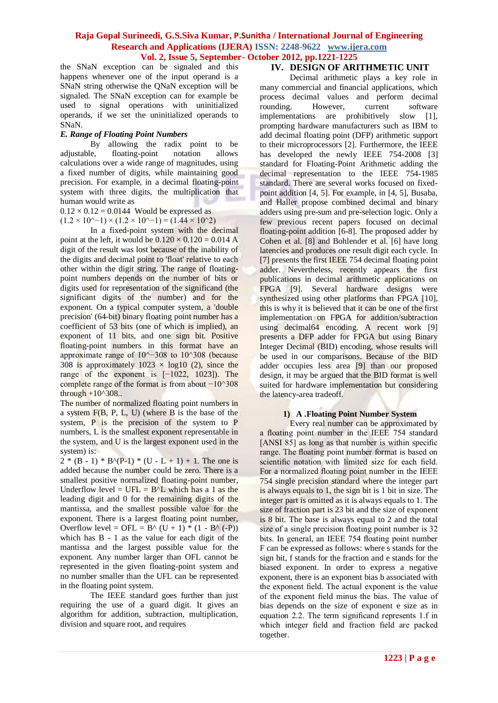the SNaN exception can be signaled and this happens whenever one of the input operand is a SNaN string otherwise the QNaN exception will be signaled. The SNaN exception can for example be used to signal operations with uninitialized operands, if we set the uninitialized operands to SNaN.

#### *E. Range of Floating Point Numbers*

By allowing the radix point to be adjustable, floating-point notation allows calculations over a wide range of magnitudes, using a fixed number of digits, while maintaining good precision. For example, in a decimal floating-point system with three digits, the multiplication that human would write as

 $0.12 \times 0.12 = 0.0144$  Would be expressed as  $(1.2 \times 10^{(-)} \times (1.2 \times 10^{(-)}) = (1.44 \times 10^{(-)})$ 

In a fixed-point system with the decimal point at the left, it would be  $0.120 \times 0.120 = 0.014$  A digit of the result was lost because of the inability of the digits and decimal point to 'float' relative to each other within the digit string. The range of floatingpoint numbers depends on the number of bits or digits used for representation of the significand (the significant digits of the number) and for the exponent. On a typical computer system, a 'double precision' (64-bit) binary floating point number has a coefficient of 53 bits (one of which is implied), an exponent of 11 bits, and one sign bit. Positive floating-point numbers in this format have an approximate range of 10^−308 to 10^308 (because 308 is approximately  $1023 \times log10$  (2), since the range of the exponent is [−1022, 1023]). The complete range of the format is from about  $-10^{\text{4}}308$ through  $+10^{\circ}308$ ..

The number of normalized floating point numbers in a system F(B, P, L, U) (where B is the base of the system, P is the precision of the system to P numbers, L is the smallest exponent representable in the system, and U is the largest exponent used in the system) is:

 $2 * (B - 1) * B<sup>(P-1)</sup> * (U - L + 1) + 1$ . The one is added because the number could be zero. There is a smallest positive normalized floating-point number, Underflow level =  $UFL = B<sup>1</sup>L$  which has a 1 as the leading digit and 0 for the remaining digits of the mantissa, and the smallest possible value for the exponent. There is a largest floating point number, Overflow level = OFL =  $B^{\wedge}$  (U + 1) \* (1 -  $B^{\wedge}$  (-P)) which has B - 1 as the value for each digit of the mantissa and the largest possible value for the exponent. Any number larger than OFL cannot be represented in the given floating-point system and no number smaller than the UFL can be represented in the floating point system.

The IEEE standard goes further than just requiring the use of a guard digit. It gives an algorithm for addition, subtraction, multiplication, division and square root, and requires

### **IV. DESIGN OF ARITHMETIC UNIT**

Decimal arithmetic plays a key role in many commercial and financial applications, which process decimal values and perform decimal rounding. However, current software implementations are prohibitively slow [1], prompting hardware manufacturers such as IBM to add decimal floating point (DFP) arithmetic support to their microprocessors [2]. Furthermore, the IEEE has developed the newly IEEE 754-2008 [3] standard for Floating-Point Arithmetic adding the decimal representation to the IEEE 754-1985 standard. There are several works focused on fixedpoint addition [4, 5]. For example, in [4, 5], Busaba, and Haller propose combined decimal and binary adders using pre-sum and pre-selection logic. Only a few previous recent papers focused on decimal floating-point addition [6-8]. The proposed adder by Cohen et al. [8] and Bohlender et al. [6] have long latencies and produces one result digit each cycle. In [7] presents the first IEEE 754 decimal floating point adder. Nevertheless, recently appears the first publications in decimal arithmetic applications on FPGA [9]. Several hardware designs were synthesized using other platforms than FPGA [10]. this is why it is believed that it can be one of the first implementation on FPGA for addition/subtraction using decimal64 encoding. A recent work [9] presents a DFP adder for FPGA but using Binary Integer Decimal (BID) encoding, whose results will be used in our comparisons. Because of the BID adder occupies less area [9] than our proposed design, it may be argued that the BID format is well suited for hardware implementation but considering the latency-area tradeoff.

#### **1) A .Floating Point Number System**

Every real number can be approximated by a floating point number in the IEEE 754 standard [ANSI 85] as long as that number is within specific range. The floating point number format is based on scientific notation with limited size for each field. For a normalized floating point number in the IEEE 754 single precision standard where the integer part is always equals to 1, the sign bit is 1 bit in size. The integer part is omitted as it is always equals to 1. The size of fraction part is 23 bit and the size of exponent is 8 bit. The base is always equal to 2 and the total size of a single precision floating point number is 32 bits. In general, an IEEE 754 floating point number F can be expressed as follows: where s stands for the sign bit, f stands for the fraction and e stands for the biased exponent. In order to express a negative exponent, there is an exponent bias b associated with the exponent field. The actual exponent is the value of the exponent field minus the bias. The value of bias depends on the size of exponent e size as in equation 2.2. The term significand represents 1.f in which integer field and fraction field are packed together.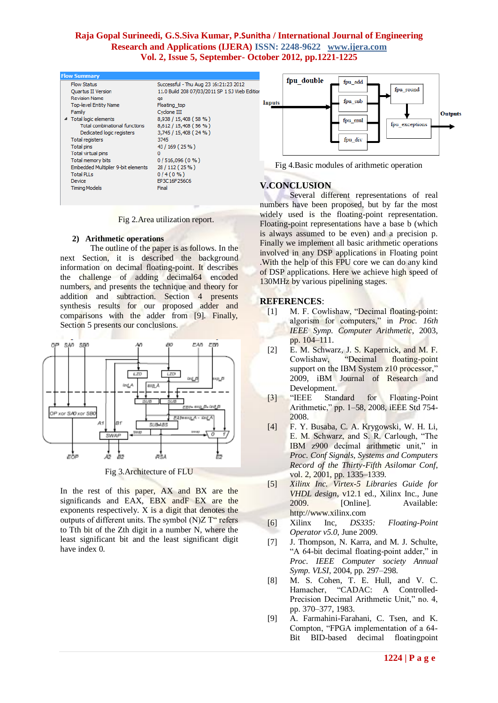| <b>Flow Summary</b>                       |                                          |
|-------------------------------------------|------------------------------------------|
| <b>Flow Status</b>                        | Successful - Thu Aug 23 16:21:23 2012    |
| <b>Ouartus II Version</b>                 | 11.0 Build 208 07/03/2011 SP 1 SJ Web Ed |
| <b>Revision Name</b>                      | qa                                       |
| <b>Top-level Entity Name</b>              | Floating top                             |
| Family                                    | Cyclone III                              |
| 4 Total logic elements                    | 8,938 / 15,408 (58 %)                    |
| <b>Total combinational functions</b>      | 8,612 / 15,408 (56 %)                    |
| Dedicated logic registers                 | 3,745 / 15,408 (24 %)                    |
| <b>Total registers</b>                    | 3745                                     |
| Total pins                                | 43 / 169 (25 %)                          |
| Total virtual pins                        | 0                                        |
| Total memory bits                         | $0/516,096(0\%)$                         |
| <b>Embedded Multiplier 9-bit elements</b> | 28 / 112 (25 %)                          |
| <b>Total PLLs</b>                         | $0/4(0\%)$                               |
| Device                                    | EP3C16F256C6                             |
| <b>Timing Models</b>                      | Final                                    |
|                                           |                                          |

Fig 2.Area utilization report.

#### **2) Arithmetic operations**

The outline of the paper is as follows. In the next Section, it is described the background information on decimal floating-point. It describes the challenge of adding decimal64 encoded numbers, and presents the technique and theory for addition and subtraction. Section 4 presents synthesis results for our proposed adder and comparisons with the adder from [9]. Finally, Section 5 presents our conclusions.



Fig 3.Architecture of FLU

In the rest of this paper, AX and BX are the significands and EAX, EBX andF EX are the exponents respectively. X is a digit that denotes the outputs of different units. The symbol  $(N)Z$  T" refers to Tth bit of the Zth digit in a number N, where the least significant bit and the least significant digit have index 0.



Fig 4.Basic modules of arithmetic operation

### **V.CONCLUSION**

 Several different representations of real numbers have been proposed, but by far the most widely used is the floating-point representation. Floating-point representations have a base b (which is always assumed to be even) and a precision p. Finally we implement all basic arithmetic operations involved in any DSP applications in Floating point .With the help of this FPU core we can do any kind of DSP applications. Here we achieve high speed of 130MHz by various pipelining stages.

#### **REFERENCES**:

- [1] M. F. Cowlishaw, "Decimal floating-point: algorism for computers," in *Proc. 16th IEEE Symp. Computer Arithmetic*, 2003, pp. 104–111.
- [2] E. M. Schwarz, J. S. Kapernick, and M. F. Cowlishaw, "Decimal floating-point support on the IBM System z10 processor," 2009, iBM Journal of Research and Development.
- [3] "IEEE Standard for Floating-Point Arithmetic," pp. 1–58, 2008, iEEE Std 754- 2008.
- [4] F. Y. Busaba, C. A. Krygowski, W. H. Li, E. M. Schwarz, and S. R. Carlough, "The IBM z900 decimal arithmetic unit," in *Proc. Conf Signals, Systems and Computers Record of the Thirty-Fifth Asilomar Conf*, vol. 2, 2001, pp. 1335–1339.
- [5] *Xilinx Inc. Virtex-5 Libraries Guide for VHDL design*, v12.1 ed., Xilinx Inc., June 2009. [Online]. Available: http://www.xilinx.com
- [6] Xilinx Inc, *DS335: Floating-Point Operator v5.0*, June 2009.
- [7] J. Thompson, N. Karra, and M. J. Schulte, "A 64-bit decimal floating-point adder," in *Proc. IEEE Computer society Annual Symp. VLSI*, 2004, pp. 297–298.
- [8] M. S. Cohen, T. E. Hull, and V. C. Hamacher, "CADAC: A Controlled-Precision Decimal Arithmetic Unit," no. 4, pp. 370–377, 1983.
- [9] A. Farmahini-Farahani, C. Tsen, and K. Compton, "FPGA implementation of a 64- Bit BID-based decimal floatingpoint